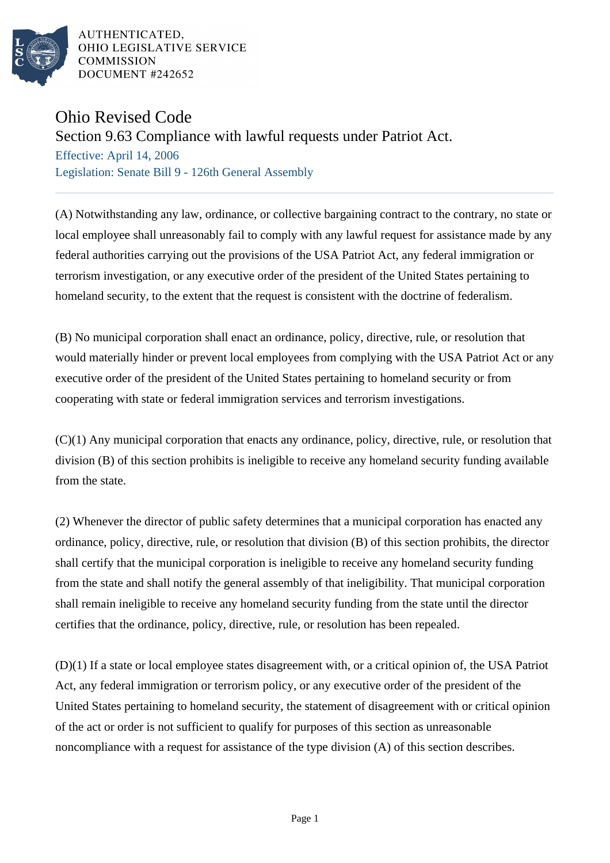

AUTHENTICATED. OHIO LEGISLATIVE SERVICE **COMMISSION** DOCUMENT #242652

## Ohio Revised Code

## Section 9.63 Compliance with lawful requests under Patriot Act.

Effective: April 14, 2006 Legislation: Senate Bill 9 - 126th General Assembly

(A) Notwithstanding any law, ordinance, or collective bargaining contract to the contrary, no state or local employee shall unreasonably fail to comply with any lawful request for assistance made by any federal authorities carrying out the provisions of the USA Patriot Act, any federal immigration or terrorism investigation, or any executive order of the president of the United States pertaining to homeland security, to the extent that the request is consistent with the doctrine of federalism.

(B) No municipal corporation shall enact an ordinance, policy, directive, rule, or resolution that would materially hinder or prevent local employees from complying with the USA Patriot Act or any executive order of the president of the United States pertaining to homeland security or from cooperating with state or federal immigration services and terrorism investigations.

(C)(1) Any municipal corporation that enacts any ordinance, policy, directive, rule, or resolution that division (B) of this section prohibits is ineligible to receive any homeland security funding available from the state.

(2) Whenever the director of public safety determines that a municipal corporation has enacted any ordinance, policy, directive, rule, or resolution that division (B) of this section prohibits, the director shall certify that the municipal corporation is ineligible to receive any homeland security funding from the state and shall notify the general assembly of that ineligibility. That municipal corporation shall remain ineligible to receive any homeland security funding from the state until the director certifies that the ordinance, policy, directive, rule, or resolution has been repealed.

(D)(1) If a state or local employee states disagreement with, or a critical opinion of, the USA Patriot Act, any federal immigration or terrorism policy, or any executive order of the president of the United States pertaining to homeland security, the statement of disagreement with or critical opinion of the act or order is not sufficient to qualify for purposes of this section as unreasonable noncompliance with a request for assistance of the type division (A) of this section describes.